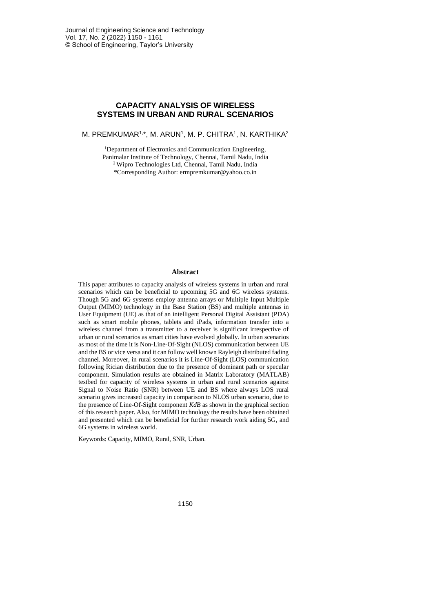# **CAPACITY ANALYSIS OF WIRELESS SYSTEMS IN URBAN AND RURAL SCENARIOS**

M. PREMKUMAR1,\*, M. ARUN', M. P. CHITRA', N. KARTHIKA<sup>2</sup>

<sup>1</sup>Department of Electronics and Communication Engineering, Panimalar Institute of Technology, Chennai, Tamil Nadu, India <sup>2</sup> Wipro Technologies Ltd, Chennai, Tamil Nadu, India \*Corresponding Author: ermpremkumar@yahoo.co.in

### **Abstract**

This paper attributes to capacity analysis of wireless systems in urban and rural scenarios which can be beneficial to upcoming 5G and 6G wireless systems. Though 5G and 6G systems employ antenna arrays or Multiple Input Multiple Output (MIMO) technology in the Base Station (BS) and multiple antennas in User Equipment (UE) as that of an intelligent Personal Digital Assistant (PDA) such as smart mobile phones, tablets and iPads, information transfer into a wireless channel from a transmitter to a receiver is significant irrespective of urban or rural scenarios as smart cities have evolved globally. In urban scenarios as most of the time it is Non-Line-Of-Sight (NLOS) communication between UE and the BS or vice versa and it can follow well known Rayleigh distributed fading channel. Moreover, in rural scenarios it is Line-Of-Sight (LOS) communication following Rician distribution due to the presence of dominant path or specular component. Simulation results are obtained in Matrix Laboratory (MATLAB) testbed for capacity of wireless systems in urban and rural scenarios against Signal to Noise Ratio (SNR) between UE and BS where always LOS rural scenario gives increased capacity in comparison to NLOS urban scenario, due to the presence of Line-Of-Sight component *KdB* as shown in the graphical section of this research paper. Also, for MIMO technology the results have been obtained and presented which can be beneficial for further research work aiding 5G, and 6G systems in wireless world.

Keywords: Capacity, MIMO, Rural, SNR, Urban.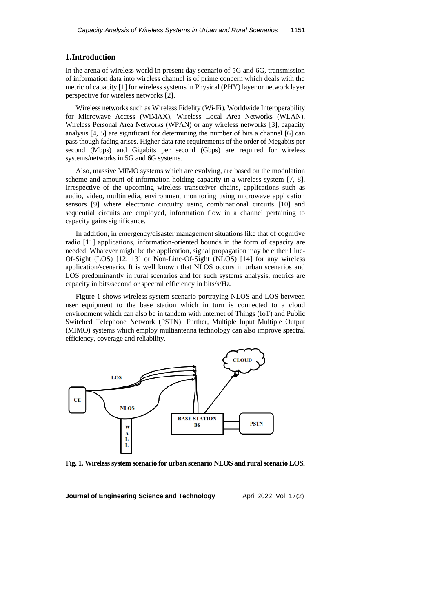## **1.Introduction**

In the arena of wireless world in present day scenario of 5G and 6G, transmission of information data into wireless channel is of prime concern which deals with the metric of capacity [1] for wireless systems in Physical (PHY) layer or network layer perspective for wireless networks [2].

Wireless networks such as Wireless Fidelity (Wi-Fi), Worldwide Interoperability for Microwave Access (WiMAX), Wireless Local Area Networks (WLAN), Wireless Personal Area Networks (WPAN) or any wireless networks [3], capacity analysis [4, 5] are significant for determining the number of bits a channel [6] can pass though fading arises. Higher data rate requirements of the order of Megabits per second (Mbps) and Gigabits per second (Gbps) are required for wireless systems/networks in 5G and 6G systems.

Also, massive MIMO systems which are evolving, are based on the modulation scheme and amount of information holding capacity in a wireless system [7, 8]. Irrespective of the upcoming wireless transceiver chains, applications such as audio, video, multimedia, environment monitoring using microwave application sensors [9] where electronic circuitry using combinational circuits [10] and sequential circuits are employed, information flow in a channel pertaining to capacity gains significance.

In addition, in emergency/disaster management situations like that of cognitive radio [11] applications, information-oriented bounds in the form of capacity are needed. Whatever might be the application, signal propagation may be either Line-Of-Sight (LOS) [12, 13] or Non-Line-Of-Sight (NLOS) [14] for any wireless application/scenario. It is well known that NLOS occurs in urban scenarios and LOS predominantly in rural scenarios and for such systems analysis, metrics are capacity in bits/second or spectral efficiency in bits/s/Hz.

Figure 1 shows wireless system scenario portraying NLOS and LOS between user equipment to the base station which in turn is connected to a cloud environment which can also be in tandem with Internet of Things (IoT) and Public Switched Telephone Network (PSTN). Further, Multiple Input Multiple Output (MIMO) systems which employ multiantenna technology can also improve spectral efficiency, coverage and reliability.



**Fig. 1. Wireless system scenario for urban scenario NLOS and rural scenario LOS.**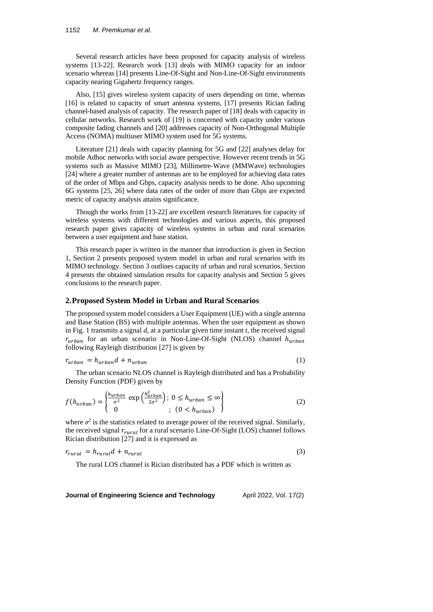#### 1152 *M*. *Premkumar et al*.

Several research articles have been proposed for capacity analysis of wireless systems [13-22]. Research work [13] deals with MIMO capacity for an indoor scenario whereas [14] presents Line-Of-Sight and Non-Line-Of-Sight environments capacity nearing Gigahertz frequency ranges.

Also, [15] gives wireless system capacity of users depending on time, whereas [16] is related to capacity of smart antenna systems, [17] presents Rician fading channel-based analysis of capacity. The research paper of [18] deals with capacity in cellular networks. Research work of [19] is concerned with capacity under various composite fading channels and [20] addresses capacity of Non-Orthogonal Multiple Access (NOMA) multiuser MIMO system used for 5G systems.

Literature [21] deals with capacity planning for 5G and [22] analyses delay for mobile Adhoc networks with social aware perspective. However recent trends in 5G systems such as Massive MIMO [23], Millimetre-Wave (MMWave) technologies [24] where a greater number of antennas are to be employed for achieving data rates of the order of Mbps and Gbps, capacity analysis needs to be done. Also upcoming 6G systems [25, 26] where data rates of the order of more than Gbps are expected metric of capacity analysis attains significance.

Though the works from [13-22] are excellent research literatures for capacity of wireless systems with different technologies and various aspects, this proposed research paper gives capacity of wireless systems in urban and rural scenarios between a user equipment and base station.

This research paper is written in the manner that introduction is given in Section 1, Section 2 presents proposed system model in urban and rural scenarios with its MIMO technology. Section 3 outlines capacity of urban and rural scenarios. Section 4 presents the obtained simulation results for capacity analysis and Section 5 gives conclusions to the research paper.

## **2.Proposed System Model in Urban and Rural Scenarios**

The proposed system model considers a User Equipment (UE) with a single antenna and Base Station (BS) with multiple antennas. When the user equipment as shown in Fig. 1 transmits a signal *d*, at a particular given time instant *t*, the received signal  $r_{urban}$  for an urban scenario in Non-Line-Of-Sight (NLOS) channel  $h_{urban}$ following Rayleigh distribution [27] is given by

$$
r_{urban} = h_{urban}d + n_{urban} \tag{1}
$$

The urban scenario NLOS channel is Rayleigh distributed and has a Probability Density Function (PDF) given by

$$
f(h_{urban}) = \begin{cases} \frac{h_{urban}}{\sigma^2} \exp\left(\frac{h_{urban}^2}{2\sigma^2}\right); 0 \le h_{urban} \le \infty\\ 0; (0 < h_{urban}) \end{cases} \tag{2}
$$

where  $\sigma^2$  is the statistics related to average power of the received signal. Similarly, the received signal  $r_{\text{rural}}$  for a rural scenario Line-Of-Sight (LOS) channel follows Rician distribution [27] and it is expressed as

$$
r_{\text{rural}} = h_{\text{rural}}d + n_{\text{rural}} \tag{3}
$$

The rural LOS channel is Rician distributed has a PDF which is written as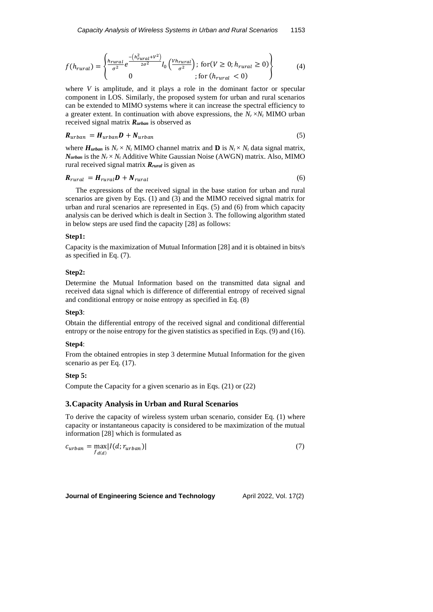$$
f(h_{rural}) = \begin{cases} \frac{h_{rural}}{\sigma^2} e^{\frac{-(h_{rural}^2 + V^2)}{2\sigma^2}} I_0 \left( \frac{V h_{rural}}{\sigma^2} \right); \text{ for } (V \ge 0; h_{rural} \ge 0) \\ 0, \text{ for } (h_{rural} < 0) \end{cases} \tag{4}
$$

where *V* is amplitude, and it plays a role in the dominant factor or specular component in LOS. Similarly, the proposed system for urban and rural scenarios can be extended to MIMO systems where it can increase the spectral efficiency to a greater extent. In continuation with above expressions, the  $N_r \times N_t$  MIMO urban received signal matrix *Rurban* is observed as

$$
R_{urban} = H_{urban}D + N_{urban} \tag{5}
$$

where  $H_{urban}$  is  $N_r \times N_t$  MIMO channel matrix and **D** is  $N_t \times N_t$  data signal matrix,  $N_{\text{urban}}$  is the  $N_r \times N_t$  Additive White Gaussian Noise (AWGN) matrix. Also, MIMO rural received signal matrix *Rrural* is given as

$$
R_{rural} = H_{rural} D + N_{rural} \tag{6}
$$

The expressions of the received signal in the base station for urban and rural scenarios are given by Eqs. (1) and (3) and the MIMO received signal matrix for urban and rural scenarios are represented in Eqs. (5) and (6) from which capacity analysis can be derived which is dealt in Section 3. The following algorithm stated in below steps are used find the capacity [28] as follows:

## **Step1:**

Capacity is the maximization of Mutual Information [28] and it is obtained in bits/s as specified in Eq. (7).

#### **Step2:**

Determine the Mutual Information based on the transmitted data signal and received data signal which is difference of differential entropy of received signal and conditional entropy or noise entropy as specified in Eq. (8)

#### **Step3**:

Obtain the differential entropy of the received signal and conditional differential entropy or the noise entropy for the given statistics as specified in Eqs. (9) and (16).

#### **Step4**:

From the obtained entropies in step 3 determine Mutual Information for the given scenario as per Eq. (17).

### **Step 5:**

Compute the Capacity for a given scenario as in Eqs. (21) or (22)

# **3.Capacity Analysis in Urban and Rural Scenarios**

To derive the capacity of wireless system urban scenario, consider Eq. (1) where capacity or instantaneous capacity is considered to be maximization of the mutual information [28] which is formulated as

$$
c_{urban} = \max_{f_{d(d)}} |I(d; r_{urban})|
$$
\n(7)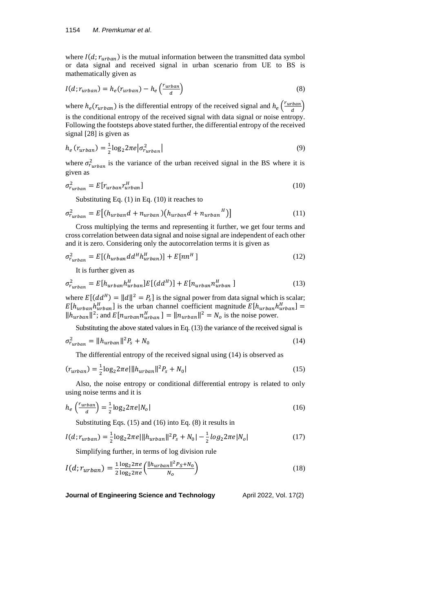where  $I(d; r_{urban})$  is the mutual information between the transmitted data symbol or data signal and received signal in urban scenario from UE to BS is mathematically given as

$$
I(d; r_{urban}) = h_e(r_{urban}) - h_e\left(\frac{r_{urban}}{d}\right)
$$
\n(8)

where  $h_e(r_{urban})$  is the differential entropy of the received signal and  $h_e\left(\frac{r_{urban}}{d}\right)$  $\frac{rban}{d}\big)$ is the conditional entropy of the received signal with data signal or noise entropy. Following the footsteps above stated further, the differential entropy of the received signal [28] is given as

$$
h_e \left( r_{urban} \right) = \frac{1}{2} \log_2 2\pi e \left| \sigma_{r_{urban}}^2 \right| \tag{9}
$$

where  $\sigma_{rurban}^2$  is the variance of the urban received signal in the BS where it is given as

$$
\sigma_{r_{urban}}^2 = E[r_{urban}r_{urban}^H]
$$
\n(10)

Substituting Eq. (1) in Eq. (10) it reaches to

$$
\sigma_{r_{urban}}^2 = E\big[(h_{urban}d + n_{urban})(h_{urban}d + n_{urban}^H)\big] \tag{11}
$$

Cross multiplying the terms and representing it further, we get four terms and cross correlation between data signal and noise signal are independent of each other and it is zero. Considering only the autocorrelation terms it is given as

$$
\sigma_{r_{urban}}^2 = E[(h_{urban}dd^H h_{urban}^H)] + E[nn^H] \tag{12}
$$

It is further given as

$$
\sigma_{r_{urban}}^2 = E[h_{urban}h_{urban}^H]E[(dd^H)] + E[n_{urban}n_{urban}^H]
$$
\n(13)

where  $E[(dd^H) = ||d||^2 = P_s]$  is the signal power from data signal which is scalar;  $E[h_{urban}h_{urban}^H]$  is the urban channel coefficient magnitude  $E[h_{urban}h_{urban}^H] =$  $||h_{urban}||^2$ ; and  $E[n_{urban}n_{urban}^H] = ||n_{urban}||^2 = N_o$  is the noise power.

Substituting the above stated values in Eq. (13) the variance of the received signal is

$$
\sigma_{r_{urban}}^2 = ||h_{urban}||^2 P_s + N_0 \tag{14}
$$

The differential entropy of the received signal using (14) is observed as

$$
(r_{urban}) = \frac{1}{2} \log_2 2\pi e ||h_{urban}||^2 P_s + N_0|
$$
\n(15)

Also, the noise entropy or conditional differential entropy is related to only using noise terms and it is

$$
h_e\left(\frac{r_{urban}}{d}\right) = \frac{1}{2}\log_2 2\pi e |N_o| \tag{16}
$$

Substituting Eqs. (15) and (16) into Eq. (8) it results in

$$
I(d; r_{urban}) = \frac{1}{2} \log_2 2\pi e ||h_{urban}||^2 P_s + N_0| - \frac{1}{2} \log_2 2\pi e |N_0|
$$
 (17)

Simplifying further, in terms of log division rule

$$
I(d; r_{urban}) = \frac{1}{2} \frac{\log_2 2\pi e}{\log_2 2\pi e} \left( \frac{\|h_{urban}\|^2 P_S + N_0}{N_0} \right)
$$
(18)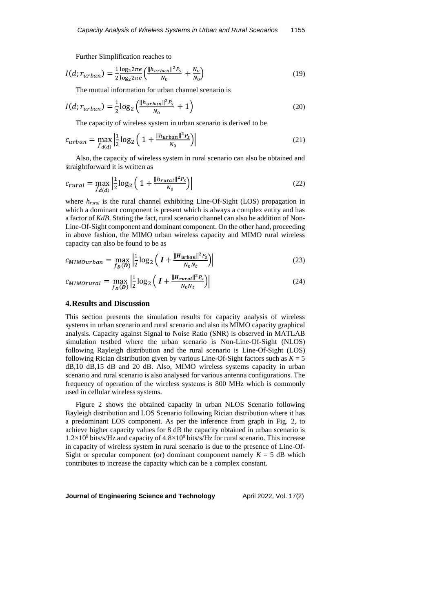Further Simplification reaches to

$$
I(d; r_{urban}) = \frac{1}{2} \frac{\log_2 2\pi e}{\log_2 2\pi e} \left( \frac{\|h_{urban}\|^2 P_S}{N_0} + \frac{N_0}{N_0} \right)
$$
(19)

The mutual information for urban channel scenario is

$$
I(d; r_{urban}) = \frac{1}{2} \log_2 \left( \frac{\|h_{urban}\|^2 P_s}{N_0} + 1 \right)
$$
 (20)

The capacity of wireless system in urban scenario is derived to be

$$
c_{urban} = \max_{f_{d(d)}} \left| \frac{1}{2} \log_2 \left( 1 + \frac{\|h_{urban}\|^2 P_S}{N_0} \right) \right| \tag{21}
$$

Also, the capacity of wireless system in rural scenario can also be obtained and straightforward it is written as

$$
c_{rural} = \max_{f_{d(d)}} \left| \frac{1}{2} \log_2 \left( 1 + \frac{\|h_{rural}\|^2 P_S}{N_0} \right) \right| \tag{22}
$$

where  $h_{\text{rural}}$  is the rural channel exhibiting Line-Of-Sight (LOS) propagation in which a dominant component is present which is always a complex entity and has a factor of *KdB*. Stating the fact, rural scenario channel can also be addition of Non-Line-Of-Sight component and dominant component. On the other hand, proceeding in above fashion, the MIMO urban wireless capacity and MIMO rural wireless capacity can also be found to be as

$$
c_{MIMOurban} = \max_{f_D(D)} \left| \frac{1}{2} \log_2 \left( I + \frac{\|H_{urban}\|^2 P_S}{N_0 N_t} \right) \right| \tag{23}
$$

$$
c_{MIMorural} = \max_{f_D(D)} \left| \frac{1}{2} \log_2 \left( I + \frac{\|H_{rural}\|^2 P_S}{N_0 N_t} \right) \right| \tag{24}
$$

#### **4.Results and Discussion**

This section presents the simulation results for capacity analysis of wireless systems in urban scenario and rural scenario and also its MIMO capacity graphical analysis. Capacity against Signal to Noise Ratio (SNR) is observed in MATLAB simulation testbed where the urban scenario is Non-Line-Of-Sight (NLOS) following Rayleigh distribution and the rural scenario is Line-Of-Sight (LOS) following Rician distribution given by various Line-Of-Sight factors such as  $K = 5$ dB,10 dB,15 dB and 20 dB. Also, MIMO wireless systems capacity in urban scenario and rural scenario is also analysed for various antenna configurations. The frequency of operation of the wireless systems is 800 MHz which is commonly used in cellular wireless systems.

Figure 2 shows the obtained capacity in urban NLOS Scenario following Rayleigh distribution and LOS Scenario following Rician distribution where it has a predominant LOS component. As per the inference from graph in Fig. 2, to achieve higher capacity values for 8 dB the capacity obtained in urban scenario is  $1.2\times10^9$  bits/s/Hz and capacity of  $4.8\times10^9$  bits/s/Hz for rural scenario. This increase in capacity of wireless system in rural scenario is due to the presence of Line-Of-Sight or specular component (or) dominant component namely  $K = 5$  dB which contributes to increase the capacity which can be a complex constant.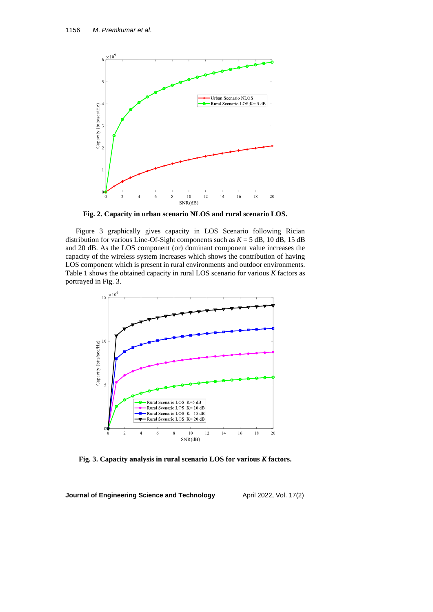

**Fig. 2. Capacity in urban scenario NLOS and rural scenario LOS.**

Figure 3 graphically gives capacity in LOS Scenario following Rician distribution for various Line-Of-Sight components such as  $K = 5$  dB, 10 dB, 15 dB and 20 dB. As the LOS component (or) dominant component value increases the capacity of the wireless system increases which shows the contribution of having LOS component which is present in rural environments and outdoor environments. Table 1 shows the obtained capacity in rural LOS scenario for various *K* factors as portrayed in Fig. 3.



**Fig. 3. Capacity analysis in rural scenario LOS for various** *K* **factors.**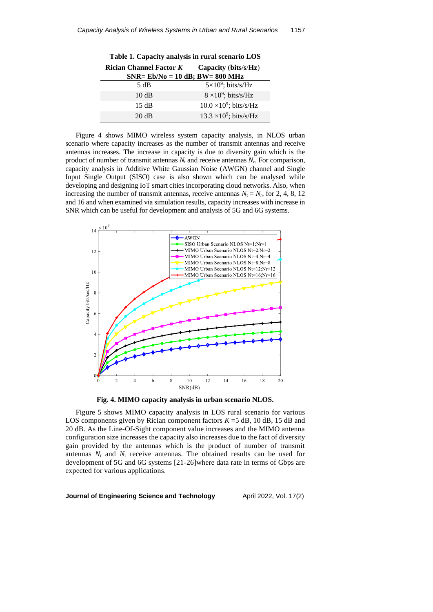| Table 1. Capacity analysis in Fural secharity LOD |                                |  |
|---------------------------------------------------|--------------------------------|--|
| <b>Rician Channel Factor K</b>                    | Capacity (bits/s/Hz)           |  |
| $SNR = Eb/No = 10 dB$ ; BW= 800 MHz               |                                |  |
| 5 dB                                              | $5\times10^9$ ; bits/s/Hz      |  |
| 10dB                                              | $8 \times 10^9$ ; bits/s/Hz    |  |
| 15 dB                                             | $10.0 \times 10^9$ ; bits/s/Hz |  |
| 20 dB                                             | $13.3 \times 10^9$ ; bits/s/Hz |  |

**Table 1. Capacity analysis in rural scenario LOS**

Figure 4 shows MIMO wireless system capacity analysis, in NLOS urban scenario where capacity increases as the number of transmit antennas and receive antennas increases. The increase in capacity is due to diversity gain which is the product of number of transmit antennas  $N_t$  and receive antennas  $N_r$ . For comparison, capacity analysis in Additive White Gaussian Noise (AWGN) channel and Single Input Single Output (SISO) case is also shown which can be analysed while developing and designing IoT smart cities incorporating cloud networks. Also, when increasing the number of transmit antennas, receive antennas  $N_t = N_r$ , for 2, 4, 8, 12 and 16 and when examined via simulation results, capacity increases with increase in SNR which can be useful for development and analysis of 5G and 6G systems.



**Fig. 4. MIMO capacity analysis in urban scenario NLOS.**

Figure 5 shows MIMO capacity analysis in LOS rural scenario for various LOS components given by Rician component factors  $K = 5$  dB, 10 dB, 15 dB and 20 dB. As the Line-Of-Sight component value increases and the MIMO antenna configuration size increases the capacity also increases due to the fact of diversity gain provided by the antennas which is the product of number of transmit antennas  $N_t$  and  $N_r$  receive antennas. The obtained results can be used for development of 5G and 6G systems [21-26]where data rate in terms of Gbps are expected for various applications.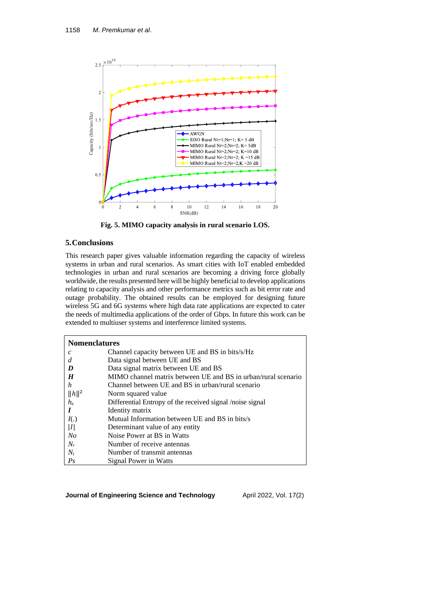

**Fig. 5. MIMO capacity analysis in rural scenario LOS.**

# **5.Conclusions**

This research paper gives valuable information regarding the capacity of wireless systems in urban and rural scenarios. As smart cities with IoT enabled embedded technologies in urban and rural scenarios are becoming a driving force globally worldwide, the results presented here will be highly beneficial to develop applications relating to capacity analysis and other performance metrics such as bit error rate and outage probability. The obtained results can be employed for designing future wireless 5G and 6G systems where high data rate applications are expected to cater the needs of multimedia applications of the order of Gbps. In future this work can be extended to multiuser systems and interference limited systems.

| <b>Nomenclatures</b>       |                                                               |
|----------------------------|---------------------------------------------------------------|
| $\mathcal{C}$              | Channel capacity between UE and BS in bits/s/Hz               |
| d                          | Data signal between UE and BS                                 |
| D                          | Data signal matrix between UE and BS                          |
| $\boldsymbol{H}$           | MIMO channel matrix between UE and BS in urban/rural scenario |
| h                          | Channel between UE and BS in urban/rural scenario             |
| $\Vert h \Vert^2$          | Norm squared value                                            |
| $h_{\scriptscriptstyle e}$ | Differential Entropy of the received signal /noise signal     |
|                            | Identity matrix                                               |
| I(.)                       | Mutual Information between UE and BS in bits/s                |
| I                          | Determinant value of any entity                               |
| N <sub>O</sub>             | Noise Power at BS in Watts                                    |
| $N_r$                      | Number of receive antennas                                    |
| $N_t$                      | Number of transmit antennas                                   |
| Ps                         | Signal Power in Watts                                         |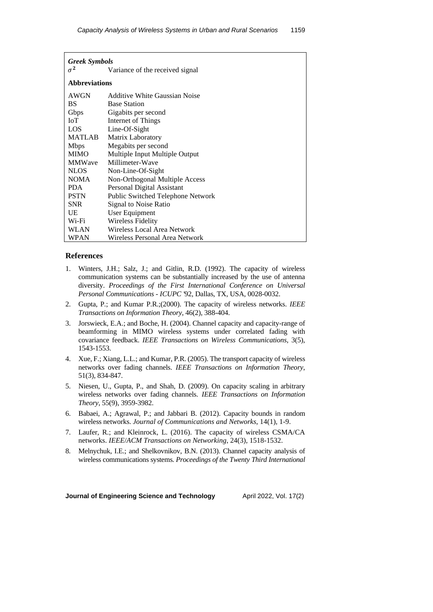| <b>Greek Symbols</b> |                                   |  |
|----------------------|-----------------------------------|--|
| $\sigma^2$           | Variance of the received signal   |  |
| <b>Abbreviations</b> |                                   |  |
| <b>AWGN</b>          | Additive White Gaussian Noise     |  |
| <b>BS</b>            | <b>Base Station</b>               |  |
| Gbps                 | Gigabits per second               |  |
| IoT                  | Internet of Things                |  |
| LOS.                 | Line-Of-Sight                     |  |
| MATLAB               | Matrix Laboratory                 |  |
| <b>Mbps</b>          | Megabits per second               |  |
| <b>MIMO</b>          | Multiple Input Multiple Output    |  |
| <b>MMWave</b>        | Millimeter-Wave                   |  |
| <b>NLOS</b>          | Non-Line-Of-Sight                 |  |
| <b>NOMA</b>          | Non-Orthogonal Multiple Access    |  |
| <b>PDA</b>           | Personal Digital Assistant        |  |
| <b>PSTN</b>          | Public Switched Telephone Network |  |
| <b>SNR</b>           | Signal to Noise Ratio             |  |
| UE                   | User Equipment                    |  |
| Wi-Fi                | <b>Wireless Fidelity</b>          |  |
| WLAN                 | Wireless Local Area Network       |  |
| <b>WPAN</b>          | Wireless Personal Area Network    |  |

## **References**

- 1. Winters, J.H.; Salz, J.; and Gitlin, R.D. (1992). The capacity of wireless communication systems can be substantially increased by the use of antenna diversity. *Proceedings of the First International Conference on Universal Personal Communications - ICUPC '*92, Dallas, TX, USA, 0028-0032.
- 2. Gupta, P.; and Kumar P.R.;(2000). The capacity of wireless networks. *IEEE Transactions on Information Theory*, 46(2), 388-404.
- 3. Jorswieck, E.A.; and Boche, H. (2004). Channel capacity and capacity-range of beamforming in MIMO wireless systems under correlated fading with covariance feedback. *IEEE Transactions on Wireless Communications*, 3(5), 1543-1553.
- 4. Xue, F.; Xiang, L.L.; and Kumar, P.R. (2005). The transport capacity of wireless networks over fading channels. *IEEE Transactions on Information Theory*, 51(3), 834-847.
- 5. Niesen, U., Gupta, P., and Shah, D. (2009). On capacity scaling in arbitrary wireless networks over fading channels. *IEEE Transactions on Information Theory*, 55(9), 3959-3982.
- 6. Babaei, A.; Agrawal, P.; and Jabbari B. (2012). Capacity bounds in random wireless networks. *Journal of Communications and Networks*, 14(1), 1-9.
- 7. Laufer, R.; and Kleinrock, L. (2016). The capacity of wireless CSMA/CA networks. *IEEE*/*ACM Transactions on Networking*, 24(3), 1518-1532.
- 8. Melnychuk, I.E.; and Shelkovnikov, B.N. (2013). Channel capacity analysis of wireless communications systems. *Proceedings of the Twenty Third International*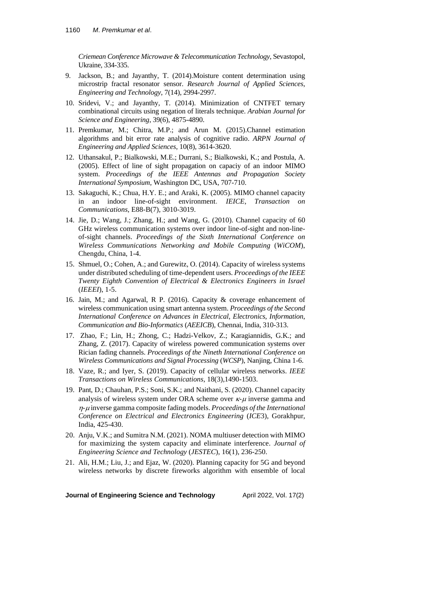*Criemean Conference Microwave & Telecommunication Technology*, Sevastopol, Ukraine, 334-335.

- 9. Jackson, B.; and Jayanthy, T. (2014).Moisture content determination using microstrip fractal resonator sensor. *Research Journal of Applied Sciences*, *Engineering and Technology*, 7(14), 2994-2997.
- 10. Sridevi, V.; and Jayanthy, T. (2014). Minimization of CNTFET ternary combinational circuits using negation of literals technique. *Arabian Journal for Science and Engineering*, 39(6), 4875-4890.
- 11. Premkumar, M.; Chitra, M.P.; and Arun M. (2015).Channel estimation algorithms and bit error rate analysis of cognitive radio. *ARPN Journal of Engineering and Applied Sciences*, 10(8), 3614-3620.
- 12. Uthansakul, P.; Bialkowski, M.E.; Durrani, S.; Bialkowski, K.; and Postula, A. (2005). Effect of line of sight propagation on capaciy of an indoor MIMO system. *Proceedings of the IEEE Antennas and Propagation Society International Symposium*, Washington DC, USA, 707-710.
- 13. Sakaguchi, K.; Chua, H.Y. E.; and Araki, K. (2005). MIMO channel capacity in an indoor line-of-sight environment. *IEICE*, *Transaction on Communications*, E88-B(7), 3010-3019.
- 14. Jie, D.; Wang, J.; Zhang, H.; and Wang, G. (2010). Channel capacity of 60 GHz wireless communication systems over indoor line-of-sight and non-lineof-sight channels. *Proceedings of the Sixth International Conference on Wireless Communications Networking and Mobile Computing* (*WiCOM*), Chengdu, China, 1-4.
- 15. Shmuel, O.; Cohen, A.; and Gurewitz, O. (2014). Capacity of wireless systems under distributed scheduling of time-dependent users. *Proceedings of the IEEE Twenty Eighth Convention of Electrical & Electronics Engineers in Israel* (*IEEEI*), 1-5.
- 16. Jain, M.; and Agarwal, R P. (2016). Capacity & coverage enhancement of wireless communication using smart antenna system. *Proceedings of the Second International Conference on Advances in Electrical*, *Electronics*, *Information*, *Communication and Bio-Informatics* (*AEEICB*), Chennai, India, 310-313.
- 17. Zhao, F.; Lin, H.; Zhong, C.; Hadzi-Velkov, Z.; Karagiannidis, G.K.; and Zhang, Z. (2017). Capacity of wireless powered communication systems over Rician fading channels. *Proceedings of the Nineth International Conference on Wireless Communications and Signal Processing* (*WCSP*), Nanjing, China 1-6.
- 18. Vaze, R.; and Iyer, S. (2019). Capacity of cellular wireless networks. *IEEE Transactions on Wireless Communications*, 18(3),1490-1503.
- 19. Pant, D.; Chauhan, P.S.; Soni, S.K.; and Naithani, S. (2020). Channel capacity analysis of wireless system under ORA scheme over  $\kappa$ - $\mu$  inverse gamma and - inverse gamma composite fading models. *Proceedings of the International Conference on Electrical and Electronics Engineering* (*ICE*3), Gorakhpur, India, 425-430.
- 20. Anju, V.K.; and Sumitra N.M. (2021). NOMA multiuser detection with MIMO for maximizing the system capacity and eliminate interference. *Journal of Engineering Science and Technology* (*JESTEC*), 16(1), 236-250.
- 21. Ali, H.M.; Liu, J.; and Ejaz, W. (2020). Planning capacity for 5G and beyond wireless networks by discrete fireworks algorithm with ensemble of local